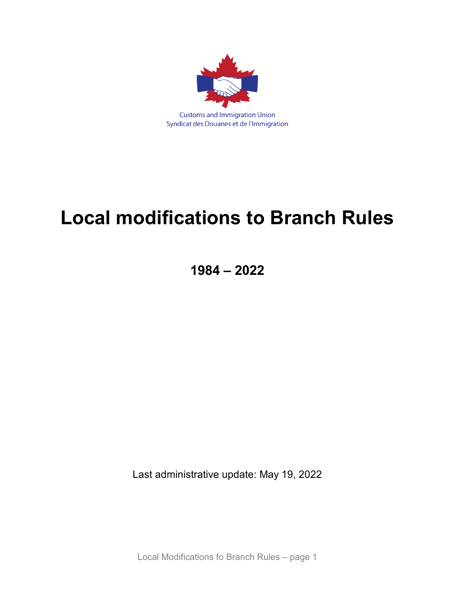

# **Local modifications to Branch Rules**

**1984 – 2022**

Last administrative update: May 19, 2022

Local Modifications fo Branch Rules – page 1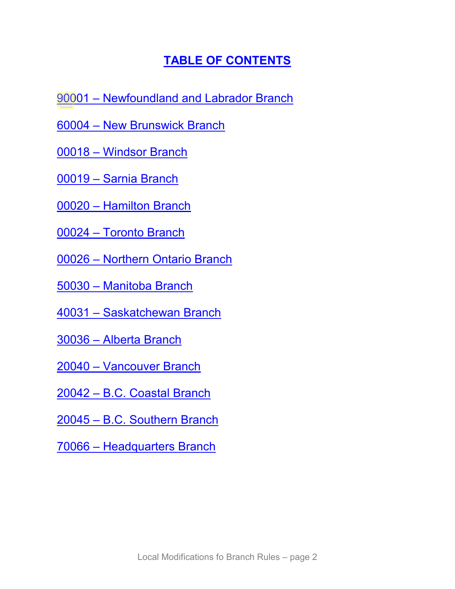# **[TABLE OF CONTENTS](#page-5-0)**

- 90001 [Newfoundland and Labrador Branch](#page-2-0)
- 60004 [New Brunswick Branch](#page-2-1)
- 00018 [Windsor Branch](#page-3-0)
- 00019 [Sarnia Branch](#page-3-1)
- 00020 [Hamilton Branch](#page-4-0)
- 00024 [Toronto Branch](#page-4-1)
- 00026 [Northern Ontario Branch](#page-5-0)
- 50030 [Manitoba](#page-7-0) Branch
- 40031 [Saskatchewan Branch](#page-7-1)
- [30036 –](#page-11-0) Alberta Branch
- 20040 [Vancouver](#page-11-1) Branch
- 20042 [B.C. Coastal Branch](#page-11-2)
- 20045 B.C. [Southern](#page-12-0) Branch
- 70066 [Headquarters Branch](#page-13-0)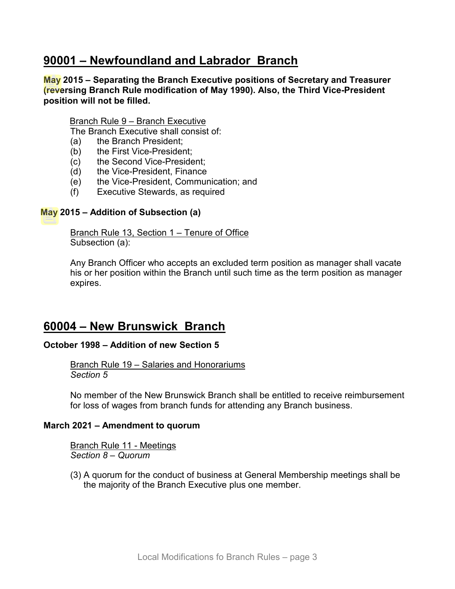# <span id="page-2-0"></span>**90001 – Newfoundland and Labrador Branch**

**May 2015 – Separating the Branch Executive positions of Secretary and Treasurer (reversing Branch Rule modification of May 1990). Also, the Third Vice-President position will not be filled.**

Branch Rule 9 – Branch Executive

The Branch Executive shall consist of:

- (a) the Branch President;
- (b) the First Vice-President;
- (c) the Second Vice-President;
- (d) the Vice-President, Finance
- (e) the Vice-President, Communication; and
- (f) Executive Stewards, as required

#### **May 2015 – Addition of Subsection (a)**

Branch Rule 13, Section 1 – Tenure of Office Subsection (a):

Any Branch Officer who accepts an excluded term position as manager shall vacate his or her position within the Branch until such time as the term position as manager expires.

### <span id="page-2-1"></span>**60004 – New Brunswick Branch**

#### **October 1998 – Addition of new Section 5**

Branch Rule 19 – Salaries and Honorariums *Section 5*

No member of the New Brunswick Branch shall be entitled to receive reimbursement for loss of wages from branch funds for attending any Branch business.

#### **March 2021 – Amendment to quorum**

Branch Rule 11 - Meetings *Section 8 – Quorum*

(3) A quorum for the conduct of business at General Membership meetings shall be the majority of the Branch Executive plus one member.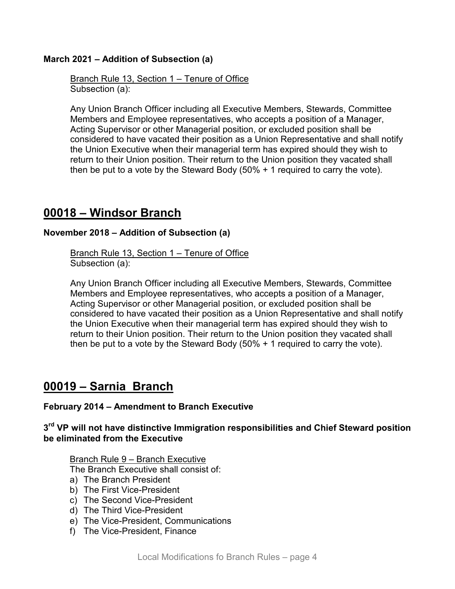### **March 2021 – Addition of Subsection (a)**

Branch Rule 13, Section 1 – Tenure of Office Subsection (a):

Any Union Branch Officer including all Executive Members, Stewards, Committee Members and Employee representatives, who accepts a position of a Manager, Acting Supervisor or other Managerial position, or excluded position shall be considered to have vacated their position as a Union Representative and shall notify the Union Executive when their managerial term has expired should they wish to return to their Union position. Their return to the Union position they vacated shall then be put to a vote by the Steward Body (50% + 1 required to carry the vote).

### <span id="page-3-0"></span>**00018 – Windsor Branch**

### **November 2018 – Addition of Subsection (a)**

Branch Rule 13, Section 1 – Tenure of Office Subsection (a):

Any Union Branch Officer including all Executive Members, Stewards, Committee Members and Employee representatives, who accepts a position of a Manager, Acting Supervisor or other Managerial position, or excluded position shall be considered to have vacated their position as a Union Representative and shall notify the Union Executive when their managerial term has expired should they wish to return to their Union position. Their return to the Union position they vacated shall then be put to a vote by the Steward Body (50% + 1 required to carry the vote).

# <span id="page-3-1"></span>**00019 – Sarnia Branch**

#### **February 2014 – Amendment to Branch Executive**

**3rd VP will not have distinctive Immigration responsibilities and Chief Steward position be eliminated from the Executive**

#### Branch Rule 9 – Branch Executive

The Branch Executive shall consist of:

- a) The Branch President
- b) The First Vice-President
- c) The Second Vice-President
- d) The Third Vice-President
- e) The Vice-President, Communications
- f) The Vice-President, Finance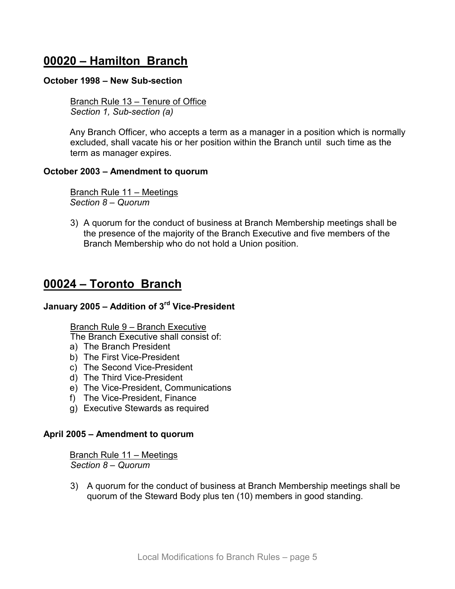# <span id="page-4-0"></span>**00020 – Hamilton Branch**

#### **October 1998 – New Sub-section**

Branch Rule 13 – Tenure of Office *Section 1, Sub-section (a)*

Any Branch Officer, who accepts a term as a manager in a position which is normally excluded, shall vacate his or her position within the Branch until such time as the term as manager expires.

#### **October 2003 – Amendment to quorum**

Branch Rule 11 – Meetings *Section 8 – Quorum*

3) A quorum for the conduct of business at Branch Membership meetings shall be the presence of the majority of the Branch Executive and five members of the Branch Membership who do not hold a Union position.

### <span id="page-4-1"></span>**00024 – Toronto Branch**

### **January 2005 – Addition of 3rd Vice-President**

Branch Rule 9 – Branch Executive

The Branch Executive shall consist of:

- a) The Branch President
- b) The First Vice-President
- c) The Second Vice-President
- d) The Third Vice-President
- e) The Vice-President, Communications
- f) The Vice-President, Finance
- g) Executive Stewards as required

#### **April 2005 – Amendment to quorum**

Branch Rule 11 – Meetings *Section 8 – Quorum*

3) A quorum for the conduct of business at Branch Membership meetings shall be quorum of the Steward Body plus ten (10) members in good standing.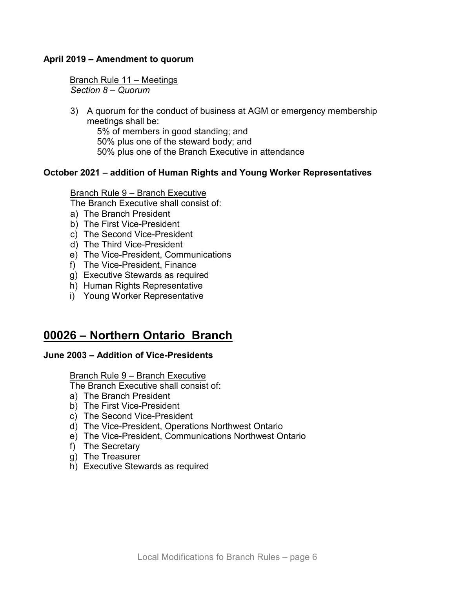### **April 2019 – Amendment to quorum**

Branch Rule 11 – Meetings *Section 8 – Quorum*

3) A quorum for the conduct of business at AGM or emergency membership meetings shall be:

5% of members in good standing; and 50% plus one of the steward body; and 50% plus one of the Branch Executive in attendance

#### **October 2021 – addition of Human Rights and Young Worker Representatives**

Branch Rule 9 – Branch Executive

The Branch Executive shall consist of:

- a) The Branch President
- b) The First Vice-President
- c) The Second Vice-President
- d) The Third Vice-President
- e) The Vice-President, Communications
- f) The Vice-President, Finance
- g) Executive Stewards as required
- h) Human Rights Representative
- i) Young Worker Representative

# <span id="page-5-0"></span>**00026 – Northern Ontario Branch**

#### **June 2003 – Addition of Vice-Presidents**

#### Branch Rule 9 – Branch Executive

The Branch Executive shall consist of:

- a) The Branch President
- b) The First Vice-President
- c) The Second Vice-President
- d) The Vice-President, Operations Northwest Ontario
- e) The Vice-President, Communications Northwest Ontario
- f) The Secretary
- g) The Treasurer
- h) Executive Stewards as required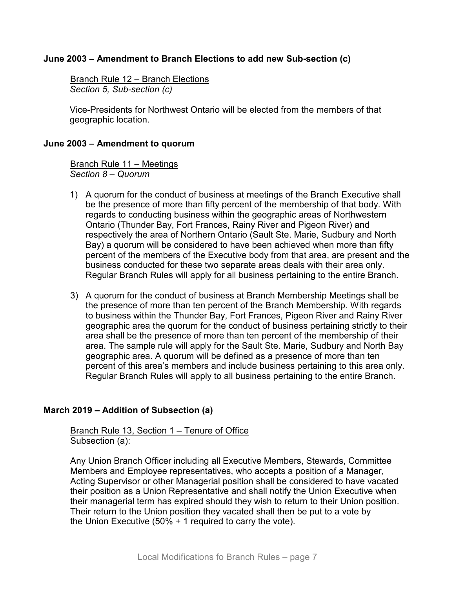### **June 2003 – Amendment to Branch Elections to add new Sub-section (c)**

Branch Rule 12 – Branch Elections *Section 5, Sub-section (c)*

Vice-Presidents for Northwest Ontario will be elected from the members of that geographic location.

#### **June 2003 – Amendment to quorum**

Branch Rule 11 – Meetings *Section 8 – Quorum* 

- 1) A quorum for the conduct of business at meetings of the Branch Executive shall be the presence of more than fifty percent of the membership of that body. With regards to conducting business within the geographic areas of Northwestern Ontario (Thunder Bay, Fort Frances, Rainy River and Pigeon River) and respectively the area of Northern Ontario (Sault Ste. Marie, Sudbury and North Bay) a quorum will be considered to have been achieved when more than fifty percent of the members of the Executive body from that area, are present and the business conducted for these two separate areas deals with their area only. Regular Branch Rules will apply for all business pertaining to the entire Branch.
- 3) A quorum for the conduct of business at Branch Membership Meetings shall be the presence of more than ten percent of the Branch Membership. With regards to business within the Thunder Bay, Fort Frances, Pigeon River and Rainy River geographic area the quorum for the conduct of business pertaining strictly to their area shall be the presence of more than ten percent of the membership of their area. The sample rule will apply for the Sault Ste. Marie, Sudbury and North Bay geographic area. A quorum will be defined as a presence of more than ten percent of this area's members and include business pertaining to this area only. Regular Branch Rules will apply to all business pertaining to the entire Branch.

#### **March 2019 – Addition of Subsection (a)**

Branch Rule 13, Section 1 – Tenure of Office Subsection (a):

Any Union Branch Officer including all Executive Members, Stewards, Committee Members and Employee representatives, who accepts a position of a Manager, Acting Supervisor or other Managerial position shall be considered to have vacated their position as a Union Representative and shall notify the Union Executive when their managerial term has expired should they wish to return to their Union position. Their return to the Union position they vacated shall then be put to a vote by the Union Executive (50% + 1 required to carry the vote).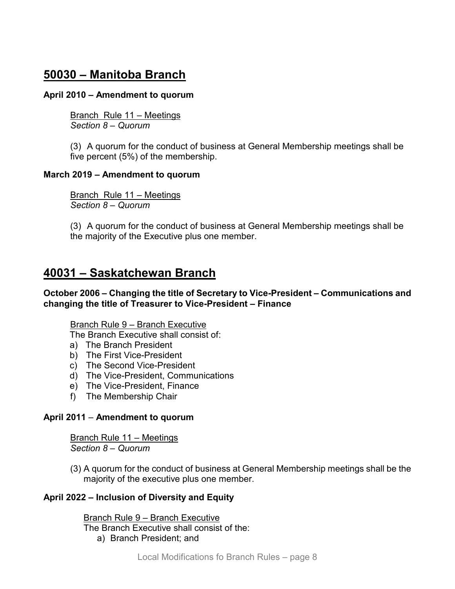# <span id="page-7-0"></span>**50030 – Manitoba Branch**

### **April 2010 – Amendment to quorum**

Branch Rule 11 – Meetings *Section 8 – Quorum*

(3) A quorum for the conduct of business at General Membership meetings shall be five percent (5%) of the membership.

### **March 2019 – Amendment to quorum**

Branch Rule 11 – Meetings *Section 8 – Quorum* 

(3) A quorum for the conduct of business at General Membership meetings shall be the majority of the Executive plus one member.

# <span id="page-7-1"></span>**40031 – Saskatchewan Branch**

**October 2006 – Changing the title of Secretary to Vice-President – Communications and changing the title of Treasurer to Vice-President – Finance**

#### Branch Rule 9 – Branch Executive

The Branch Executive shall consist of:

- a) The Branch President
- b) The First Vice-President
- c) The Second Vice-President
- d) The Vice-President, Communications
- e) The Vice-President, Finance
- f) The Membership Chair

### **April 2011** – **Amendment to quorum**

Branch Rule 11 – Meetings *Section 8 – Quorum*

(3) A quorum for the conduct of business at General Membership meetings shall be the majority of the executive plus one member.

### **April 2022 – Inclusion of Diversity and Equity**

Branch Rule 9 – Branch Executive The Branch Executive shall consist of the: a) Branch President; and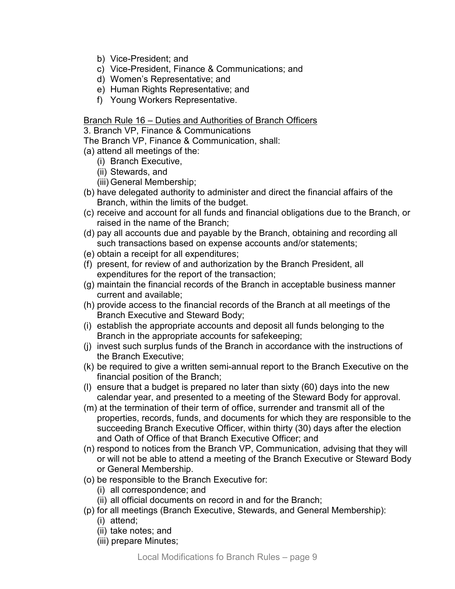- b) Vice-President; and
- c) Vice-President, Finance & Communications; and
- d) Women's Representative; and
- e) Human Rights Representative; and
- f) Young Workers Representative.

#### Branch Rule 16 – Duties and Authorities of Branch Officers

3. Branch VP, Finance & Communications

The Branch VP, Finance & Communication, shall:

- (a) attend all meetings of the:
	- (i) Branch Executive,
	- (ii) Stewards, and
	- (iii) General Membership;
- (b) have delegated authority to administer and direct the financial affairs of the Branch, within the limits of the budget.
- (c) receive and account for all funds and financial obligations due to the Branch, or raised in the name of the Branch;
- (d) pay all accounts due and payable by the Branch, obtaining and recording all such transactions based on expense accounts and/or statements;
- (e) obtain a receipt for all expenditures;
- (f) present, for review of and authorization by the Branch President, all expenditures for the report of the transaction;
- (g) maintain the financial records of the Branch in acceptable business manner current and available;
- (h) provide access to the financial records of the Branch at all meetings of the Branch Executive and Steward Body;
- (i) establish the appropriate accounts and deposit all funds belonging to the Branch in the appropriate accounts for safekeeping;
- (j) invest such surplus funds of the Branch in accordance with the instructions of the Branch Executive;
- (k) be required to give a written semi-annual report to the Branch Executive on the financial position of the Branch;
- (l) ensure that a budget is prepared no later than sixty (60) days into the new calendar year, and presented to a meeting of the Steward Body for approval.
- (m) at the termination of their term of office, surrender and transmit all of the properties, records, funds, and documents for which they are responsible to the succeeding Branch Executive Officer, within thirty (30) days after the election and Oath of Office of that Branch Executive Officer; and
- (n) respond to notices from the Branch VP, Communication, advising that they will or will not be able to attend a meeting of the Branch Executive or Steward Body or General Membership.
- (o) be responsible to the Branch Executive for:
	- (i) all correspondence; and
	- (ii) all official documents on record in and for the Branch;
- (p) for all meetings (Branch Executive, Stewards, and General Membership):
	- (i) attend;
	- (ii) take notes; and
	- (iii) prepare Minutes;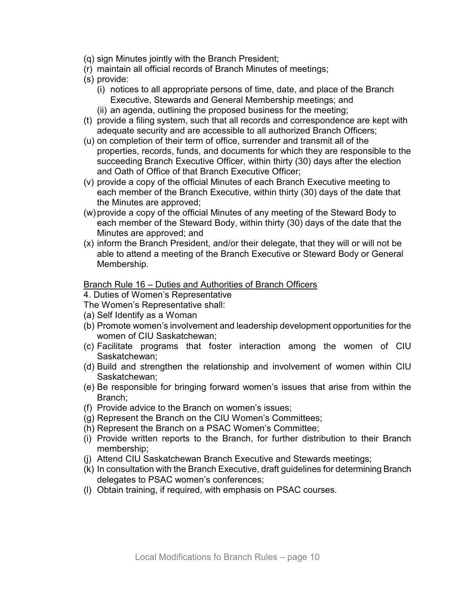- (q) sign Minutes jointly with the Branch President;
- (r) maintain all official records of Branch Minutes of meetings;
- (s) provide:
	- (i) notices to all appropriate persons of time, date, and place of the Branch Executive, Stewards and General Membership meetings; and
	- (ii) an agenda, outlining the proposed business for the meeting;
- (t) provide a filing system, such that all records and correspondence are kept with adequate security and are accessible to all authorized Branch Officers;
- (u) on completion of their term of office, surrender and transmit all of the properties, records, funds, and documents for which they are responsible to the succeeding Branch Executive Officer, within thirty (30) days after the election and Oath of Office of that Branch Executive Officer;
- (v) provide a copy of the official Minutes of each Branch Executive meeting to each member of the Branch Executive, within thirty (30) days of the date that the Minutes are approved;
- (w)provide a copy of the official Minutes of any meeting of the Steward Body to each member of the Steward Body, within thirty (30) days of the date that the Minutes are approved; and
- (x) inform the Branch President, and/or their delegate, that they will or will not be able to attend a meeting of the Branch Executive or Steward Body or General Membership.

#### Branch Rule 16 – Duties and Authorities of Branch Officers

4. Duties of Women's Representative

- The Women's Representative shall:
- (a) Self Identify as a Woman
- (b) Promote women's involvement and leadership development opportunities for the women of CIU Saskatchewan;
- (c) Facilitate programs that foster interaction among the women of CIU Saskatchewan;
- (d) Build and strengthen the relationship and involvement of women within CIU Saskatchewan;
- (e) Be responsible for bringing forward women's issues that arise from within the Branch;
- (f) Provide advice to the Branch on women's issues;
- (g) Represent the Branch on the CIU Women's Committees;
- (h) Represent the Branch on a PSAC Women's Committee;
- (i) Provide written reports to the Branch, for further distribution to their Branch membership;
- (j) Attend CIU Saskatchewan Branch Executive and Stewards meetings;
- (k) In consultation with the Branch Executive, draft guidelines for determining Branch delegates to PSAC women's conferences;
- (l) Obtain training, if required, with emphasis on PSAC courses.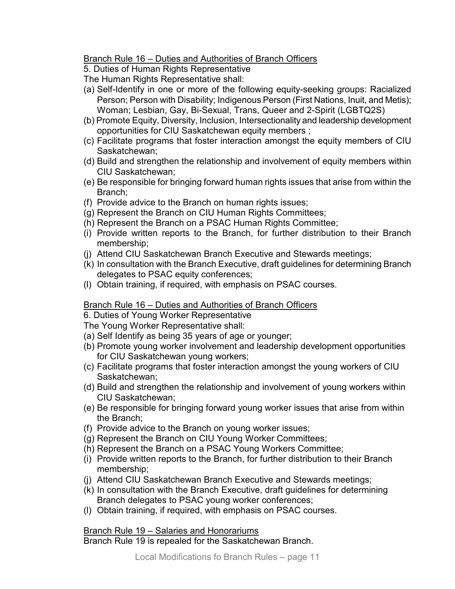Branch Rule 16 – Duties and Authorities of Branch Officers

5. Duties of Human Rights Representative

The Human Rights Representative shall:

- (a) Self-Identify in one or more of the following equity-seeking groups: Racialized Person; Person with Disability; Indigenous Person (First Nations, Inuit, and Metis); Woman; Lesbian, Gay, Bi-Sexual, Trans, Queer and 2-Spirit (LGBTQ2S)
- (b) Promote Equity, Diversity, Inclusion, Intersectionality and leadership development opportunities for CIU Saskatchewan equity members ;
- (c) Facilitate programs that foster interaction amongst the equity members of CIU Saskatchewan;
- (d) Build and strengthen the relationship and involvement of equity members within CIU Saskatchewan;
- (e) Be responsible for bringing forward human rights issues that arise from within the Branch;
- (f) Provide advice to the Branch on human rights issues;
- (g) Represent the Branch on CIU Human Rights Committees;
- (h) Represent the Branch on a PSAC Human Rights Committee;
- (i) Provide written reports to the Branch, for further distribution to their Branch membership;
- (j) Attend CIU Saskatchewan Branch Executive and Stewards meetings;
- (k) In consultation with the Branch Executive, draft guidelines for determining Branch delegates to PSAC equity conferences;
- (l) Obtain training, if required, with emphasis on PSAC courses.

### Branch Rule 16 – Duties and Authorities of Branch Officers

6. Duties of Young Worker Representative

The Young Worker Representative shall:

- (a) Self Identify as being 35 years of age or younger;
- (b) Promote young worker involvement and leadership development opportunities for CIU Saskatchewan young workers;
- (c) Facilitate programs that foster interaction amongst the young workers of CIU Saskatchewan;
- (d) Build and strengthen the relationship and involvement of young workers within CIU Saskatchewan;
- (e) Be responsible for bringing forward young worker issues that arise from within the Branch;
- (f) Provide advice to the Branch on young worker issues;
- (g) Represent the Branch on CIU Young Worker Committees;
- (h) Represent the Branch on a PSAC Young Workers Committee;
- (i) Provide written reports to the Branch, for further distribution to their Branch membership;
- (j) Attend CIU Saskatchewan Branch Executive and Stewards meetings;
- (k) In consultation with the Branch Executive, draft guidelines for determining Branch delegates to PSAC young worker conferences;
- (l) Obtain training, if required, with emphasis on PSAC courses.

### Branch Rule 19 – Salaries and Honorariums

Branch Rule 19 is repealed for the Saskatchewan Branch.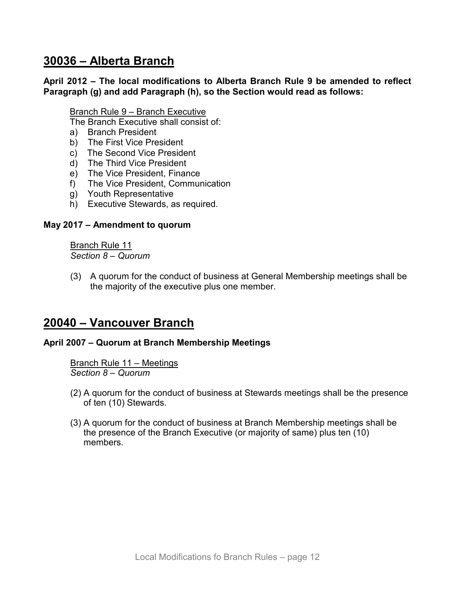# <span id="page-11-0"></span>**30036 – Alberta Branch**

### **April 2012 – The local modifications to Alberta Branch Rule 9 be amended to reflect Paragraph (g) and add Paragraph (h), so the Section would read as follows:**

#### Branch Rule 9 – Branch Executive

The Branch Executive shall consist of:

- a) Branch President
- b) The First Vice President
- c) The Second Vice President
- d) The Third Vice President
- e) The Vice President, Finance
- f) The Vice President, Communication
- g) Youth Representative
- h) Executive Stewards, as required.

#### **May 2017 – Amendment to quorum**

Branch Rule 11 *Section 8 – Quorum*

(3) A quorum for the conduct of business at General Membership meetings shall be the majority of the executive plus one member.

### <span id="page-11-1"></span>**20040 – Vancouver Branch**

#### **April 2007 – Quorum at Branch Membership Meetings**

Branch Rule 11 – Meetings *Section 8 – Quorum* 

- (2) A quorum for the conduct of business at Stewards meetings shall be the presence of ten (10) Stewards.
- <span id="page-11-2"></span>(3) A quorum for the conduct of business at Branch Membership meetings shall be the presence of the Branch Executive (or majority of same) plus ten (10) members.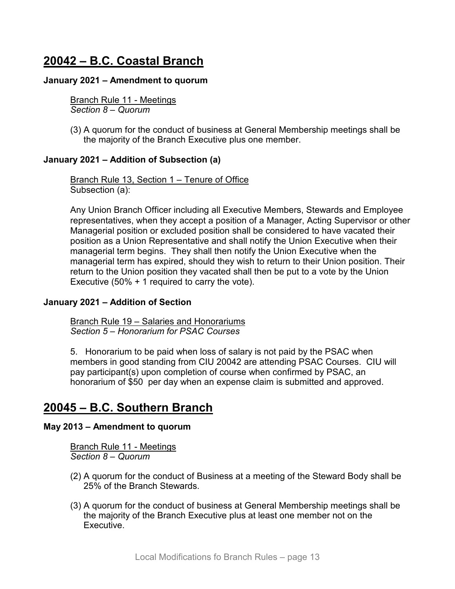# **20042 – B.C. Coastal Branch**

#### **January 2021 – Amendment to quorum**

Branch Rule 11 - Meetings *Section 8 – Quorum*

(3) A quorum for the conduct of business at General Membership meetings shall be the majority of the Branch Executive plus one member.

#### **January 2021 – Addition of Subsection (a)**

Branch Rule 13, Section 1 – Tenure of Office Subsection (a):

Any Union Branch Officer including all Executive Members, Stewards and Employee representatives, when they accept a position of a Manager, Acting Supervisor or other Managerial position or excluded position shall be considered to have vacated their position as a Union Representative and shall notify the Union Executive when their managerial term begins. They shall then notify the Union Executive when the managerial term has expired, should they wish to return to their Union position. Their return to the Union position they vacated shall then be put to a vote by the Union Executive (50% + 1 required to carry the vote).

#### **January 2021 – Addition of Section**

**Branch Rule 19 – Salaries and Honorariums** *Section 5 – Honorarium for PSAC Courses*

5. Honorarium to be paid when loss of salary is not paid by the PSAC when members in good standing from CIU 20042 are attending PSAC Courses. CIU will pay participant(s) upon completion of course when confirmed by PSAC, an honorarium of \$50 per day when an expense claim is submitted and approved.

# <span id="page-12-0"></span>**20045 – B.C. Southern Branch**

#### **May 2013 – Amendment to quorum**

Branch Rule 11 - Meetings *Section 8 – Quorum*

- (2) A quorum for the conduct of Business at a meeting of the Steward Body shall be 25% of the Branch Stewards.
- (3) A quorum for the conduct of business at General Membership meetings shall be the majority of the Branch Executive plus at least one member not on the Executive.